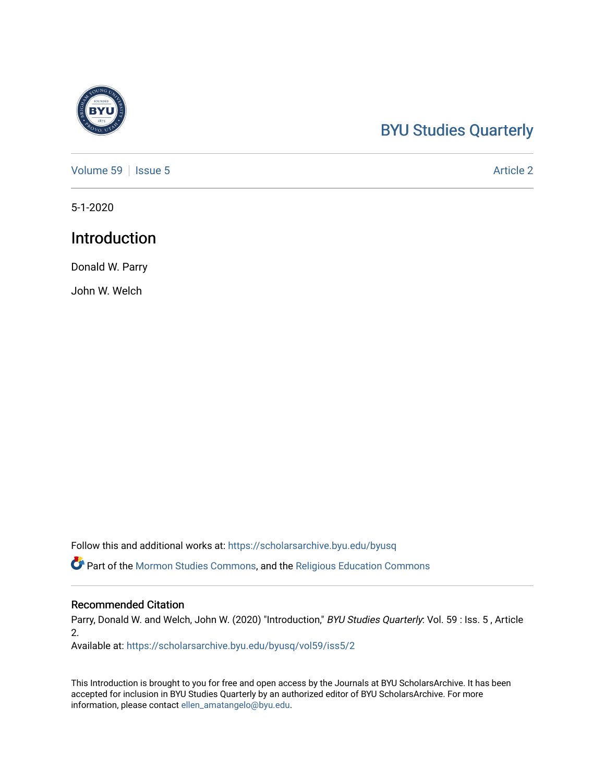# [BYU Studies Quarterly](https://scholarsarchive.byu.edu/byusq)

[Volume 59](https://scholarsarchive.byu.edu/byusq/vol59) | [Issue 5](https://scholarsarchive.byu.edu/byusq/vol59/iss5) Article 2

5-1-2020

# Introduction

Donald W. Parry

John W. Welch

Follow this and additional works at: [https://scholarsarchive.byu.edu/byusq](https://scholarsarchive.byu.edu/byusq?utm_source=scholarsarchive.byu.edu%2Fbyusq%2Fvol59%2Fiss5%2F2&utm_medium=PDF&utm_campaign=PDFCoverPages) 

Part of the [Mormon Studies Commons](http://network.bepress.com/hgg/discipline/1360?utm_source=scholarsarchive.byu.edu%2Fbyusq%2Fvol59%2Fiss5%2F2&utm_medium=PDF&utm_campaign=PDFCoverPages), and the [Religious Education Commons](http://network.bepress.com/hgg/discipline/1414?utm_source=scholarsarchive.byu.edu%2Fbyusq%2Fvol59%2Fiss5%2F2&utm_medium=PDF&utm_campaign=PDFCoverPages) 

### Recommended Citation

Parry, Donald W. and Welch, John W. (2020) "Introduction," BYU Studies Quarterly: Vol. 59 : Iss. 5, Article 2.

Available at: [https://scholarsarchive.byu.edu/byusq/vol59/iss5/2](https://scholarsarchive.byu.edu/byusq/vol59/iss5/2?utm_source=scholarsarchive.byu.edu%2Fbyusq%2Fvol59%2Fiss5%2F2&utm_medium=PDF&utm_campaign=PDFCoverPages)

This Introduction is brought to you for free and open access by the Journals at BYU ScholarsArchive. It has been accepted for inclusion in BYU Studies Quarterly by an authorized editor of BYU ScholarsArchive. For more information, please contact [ellen\\_amatangelo@byu.edu.](mailto:ellen_amatangelo@byu.edu)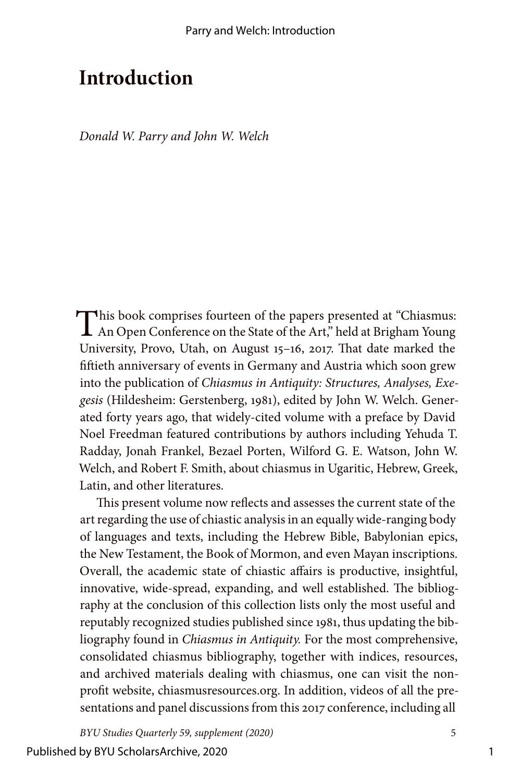# **Introduction**

*Donald W. Parry and John W. Welch*

This book comprises fourteen of the papers presented at "Chiasmus: An Open Conference on the State of the Art," held at Brigham Young University, Provo, Utah, on August 15–16, 2017. That date marked the fiftieth anniversary of events in Germany and Austria which soon grew into the publication of *Chiasmus in Antiquity: Structures, Analyses, Exegesis* (Hildesheim: Gerstenberg, 1981), edited by John W. Welch. Generated forty years ago, that widely-cited volume with a preface by David Noel Freedman featured contributions by authors including Yehuda T. Radday, Jonah Frankel, Bezael Porten, Wilford G. E. Watson, John W. Welch, and Robert F. Smith, about chiasmus in Ugaritic, Hebrew, Greek, Latin, and other literatures.

This present volume now reflects and assesses the current state of the art regarding the use of chiastic analysis in an equally wide-ranging body of languages and texts, including the Hebrew Bible, Babylonian epics, the New Testament, the Book of Mormon, and even Mayan inscriptions. Overall, the academic state of chiastic affairs is productive, insightful, innovative, wide-spread, expanding, and well established. The bibliography at the conclusion of this collection lists only the most useful and reputably recognized studies published since 1981, thus updating the bibliography found in *Chiasmus in Antiquity.* For the most comprehensive, consolidated chiasmus bibliography, together with indices, resources, and archived materials dealing with chiasmus, one can visit the nonprofit website, chiasmusresources.org. In addition, videos of all the presentations and panel discussions from this 2017 conference, including all

*BYU Studies Quarterly 59, supplement (2020)* 5

1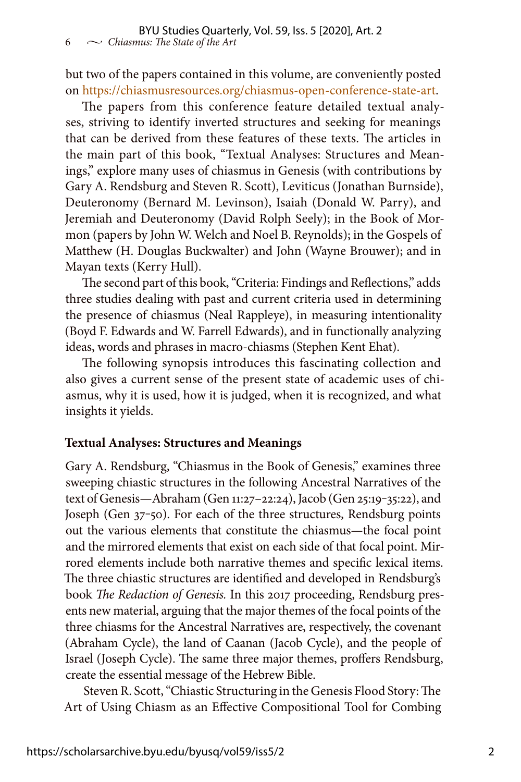but two of the papers contained in this volume, are conveniently posted on<https://chiasmusresources.org/chiasmus-open-conference-state-art>.

The papers from this conference feature detailed textual analyses, striving to identify inverted structures and seeking for meanings that can be derived from these features of these texts. The articles in the main part of this book, "Textual Analyses: Structures and Meanings," explore many uses of chiasmus in Genesis (with contributions by Gary A. Rendsburg and Steven R. Scott), Leviticus (Jonathan Burnside), Deuteronomy (Bernard M. Levinson), Isaiah (Donald W. Parry), and Jeremiah and Deuteronomy (David Rolph Seely); in the Book of Mormon (papers by John W. Welch and Noel B. Reynolds); in the Gospels of Matthew (H. Douglas Buckwalter) and John (Wayne Brouwer); and in Mayan texts (Kerry Hull).

The second part of this book, "Criteria: Findings and Reflections," adds three studies dealing with past and current criteria used in determining the presence of chiasmus (Neal Rappleye), in measuring intentionality (Boyd F. Edwards and W. Farrell Edwards), and in functionally analyzing ideas, words and phrases in macro-chiasms (Stephen Kent Ehat).

The following synopsis introduces this fascinating collection and also gives a current sense of the present state of academic uses of chiasmus, why it is used, how it is judged, when it is recognized, and what insights it yields.

#### **Textual Analyses: Structures and Meanings**

Gary A. Rendsburg, "Chiasmus in the Book of Genesis," examines three sweeping chiastic structures in the following Ancestral Narratives of the text of Genesis—Abraham (Gen 11:27–22:24), Jacob (Gen 25:19-35:22), and Joseph (Gen 37-50). For each of the three structures, Rendsburg points out the various elements that constitute the chiasmus—the focal point and the mirrored elements that exist on each side of that focal point. Mirrored elements include both narrative themes and specific lexical items. The three chiastic structures are identified and developed in Rendsburg's book *The Redaction of Genesis.* In this 2017 proceeding, Rendsburg presents new material, arguing that the major themes of the focal points of the three chiasms for the Ancestral Narratives are, respectively, the covenant (Abraham Cycle), the land of Caanan (Jacob Cycle), and the people of Israel (Joseph Cycle). The same three major themes, proffers Rendsburg, create the essential message of the Hebrew Bible.

Steven R. Scott, "Chiastic Structuring in the Genesis Flood Story: The Art of Using Chiasm as an Effective Compositional Tool for Combing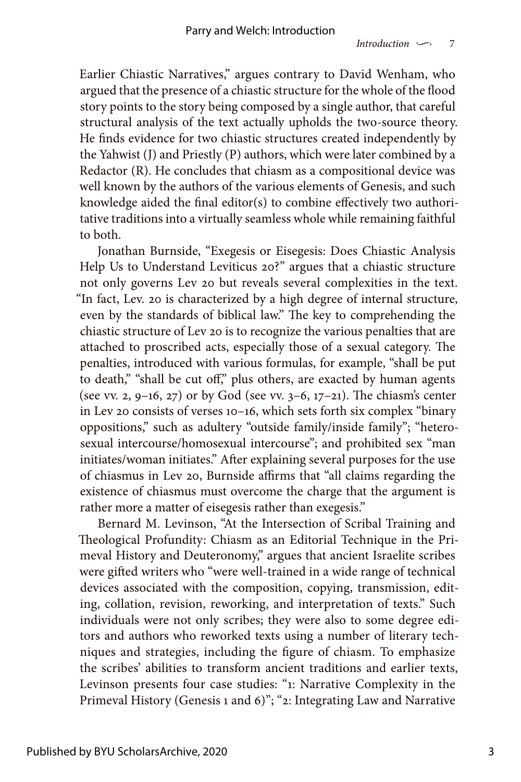Earlier Chiastic Narratives," argues contrary to David Wenham, who argued that the presence of a chiastic structure for the whole of the flood story points to the story being composed by a single author, that careful structural analysis of the text actually upholds the two-source theory. He finds evidence for two chiastic structures created independently by the Yahwist (J) and Priestly (P) authors, which were later combined by a Redactor (R). He concludes that chiasm as a compositional device was well known by the authors of the various elements of Genesis, and such knowledge aided the final editor(s) to combine effectively two authoritative traditions into a virtually seamless whole while remaining faithful to both.

Jonathan Burnside, "Exegesis or Eisegesis: Does Chiastic Analysis Help Us to Understand Leviticus 20?" argues that a chiastic structure not only governs Lev 20 but reveals several complexities in the text. "In fact, Lev. 20 is characterized by a high degree of internal structure, even by the standards of biblical law." The key to comprehending the chiastic structure of Lev 20 is to recognize the various penalties that are attached to proscribed acts, especially those of a sexual category. The penalties, introduced with various formulas, for example, "shall be put to death," "shall be cut off," plus others, are exacted by human agents (see vv. 2, 9–16, 27) or by God (see vv. 3–6, 17–21). The chiasm's center in Lev 20 consists of verses 10–16, which sets forth six complex "binary oppositions," such as adultery "outside family/inside family"; "heterosexual intercourse/homosexual intercourse"; and prohibited sex "man initiates/woman initiates." After explaining several purposes for the use of chiasmus in Lev 20, Burnside affirms that "all claims regarding the existence of chiasmus must overcome the charge that the argument is rather more a matter of eisegesis rather than exegesis."

Bernard M. Levinson, "At the Intersection of Scribal Training and Theological Profundity: Chiasm as an Editorial Technique in the Primeval History and Deuteronomy," argues that ancient Israelite scribes were gifted writers who "were well-trained in a wide range of technical devices associated with the composition, copying, transmission, editing, collation, revision, reworking, and interpretation of texts." Such individuals were not only scribes; they were also to some degree editors and authors who reworked texts using a number of literary techniques and strategies, including the figure of chiasm. To emphasize the scribes' abilities to transform ancient traditions and earlier texts, Levinson presents four case studies: "1: Narrative Complexity in the Primeval History (Genesis 1 and 6)"; "2: Integrating Law and Narrative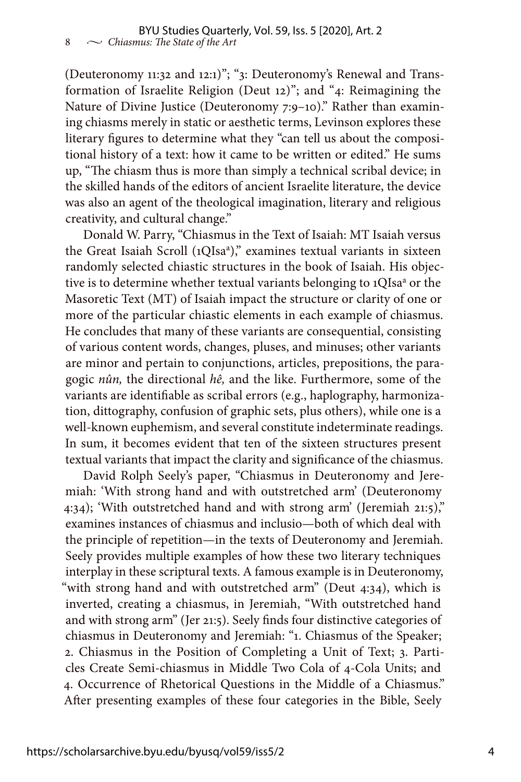(Deuteronomy 11:32 and 12:1)"; "3: Deuteronomy's Renewal and Transformation of Israelite Religion (Deut 12)"; and "4: Reimagining the Nature of Divine Justice (Deuteronomy 7:9–10)." Rather than examining chiasms merely in static or aesthetic terms, Levinson explores these literary figures to determine what they "can tell us about the compositional history of a text: how it came to be written or edited." He sums up, "The chiasm thus is more than simply a technical scribal device; in the skilled hands of the editors of ancient Israelite literature, the device was also an agent of the theological imagination, literary and religious creativity, and cultural change."

Donald W. Parry, "Chiasmus in the Text of Isaiah: MT Isaiah versus the Great Isaiah Scroll (1QIsa<sup>a</sup>)," examines textual variants in sixteen randomly selected chiastic structures in the book of Isaiah. His objective is to determine whether textual variants belonging to 1QIsa<sup>a</sup> or the Masoretic Text (MT) of Isaiah impact the structure or clarity of one or more of the particular chiastic elements in each example of chiasmus. He concludes that many of these variants are consequential, consisting of various content words, changes, pluses, and minuses; other variants are minor and pertain to conjunctions, articles, prepositions, the paragogic *nûn,* the directional *hê,* and the like. Furthermore, some of the variants are identifiable as scribal errors (e.g., haplography, harmonization, dittography, confusion of graphic sets, plus others), while one is a well-known euphemism, and several constitute indeterminate readings. In sum, it becomes evident that ten of the sixteen structures present textual variants that impact the clarity and significance of the chiasmus.

David Rolph Seely's paper, "Chiasmus in Deuteronomy and Jeremiah: 'With strong hand and with outstretched arm' (Deuteronomy 4:34); 'With outstretched hand and with strong arm' (Jeremiah 21:5)," examines instances of chiasmus and inclusio—both of which deal with the principle of repetition—in the texts of Deuteronomy and Jeremiah. Seely provides multiple examples of how these two literary techniques interplay in these scriptural texts. A famous example is in Deuteronomy, "with strong hand and with outstretched arm" (Deut 4:34), which is inverted, creating a chiasmus, in Jeremiah, "With outstretched hand and with strong arm" (Jer 21:5). Seely finds four distinctive categories of chiasmus in Deuteronomy and Jeremiah: "1. Chiasmus of the Speaker; 2. Chiasmus in the Position of Completing a Unit of Text; 3. Particles Create Semi-chiasmus in Middle Two Cola of 4-Cola Units; and 4. Occurrence of Rhetorical Questions in the Middle of a Chiasmus." After presenting examples of these four categories in the Bible, Seely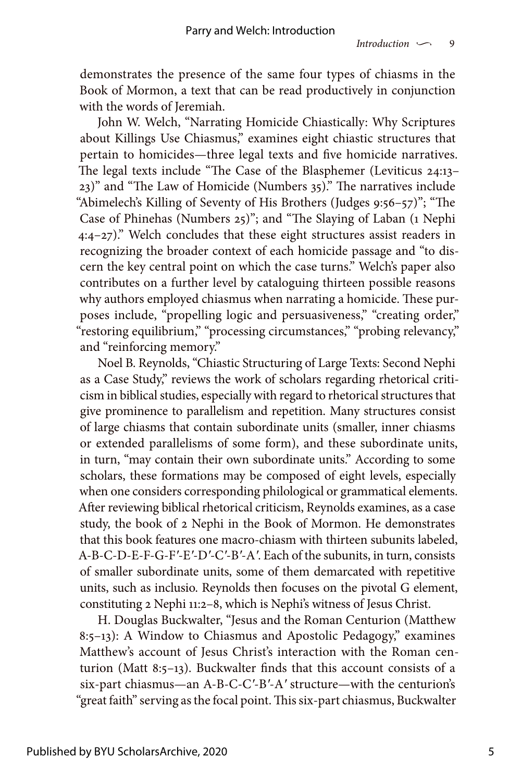demonstrates the presence of the same four types of chiasms in the Book of Mormon, a text that can be read productively in conjunction with the words of Jeremiah.

John W. Welch, "Narrating Homicide Chiastically: Why Scriptures about Killings Use Chiasmus," examines eight chiastic structures that pertain to homicides—three legal texts and five homicide narratives. The legal texts include "The Case of the Blasphemer (Leviticus 24:13– 23)" and "The Law of Homicide (Numbers 35)." The narratives include "Abimelech's Killing of Seventy of His Brothers (Judges 9:56–57)"; "The Case of Phinehas (Numbers 25)"; and "The Slaying of Laban (1 Nephi 4:4–27)." Welch concludes that these eight structures assist readers in recognizing the broader context of each homicide passage and "to discern the key central point on which the case turns." Welch's paper also contributes on a further level by cataloguing thirteen possible reasons why authors employed chiasmus when narrating a homicide. These purposes include, "propelling logic and persuasiveness," "creating order," "restoring equilibrium," "processing circumstances," "probing relevancy," and "reinforcing memory."

Noel B. Reynolds, "Chiastic Structuring of Large Texts: Second Nephi as a Case Study," reviews the work of scholars regarding rhetorical criticism in biblical studies, especially with regard to rhetorical structures that give prominence to parallelism and repetition. Many structures consist of large chiasms that contain subordinate units (smaller, inner chiasms or extended parallelisms of some form), and these subordinate units, in turn, "may contain their own subordinate units." According to some scholars, these formations may be composed of eight levels, especially when one considers corresponding philological or grammatical elements. After reviewing biblical rhetorical criticism, Reynolds examines, as a case study, the book of 2 Nephi in the Book of Mormon. He demonstrates that this book features one macro-chiasm with thirteen subunits labeled, A-B-C-D-E-F-G-F*′*-E*′*-D*′*-C*′*-B*′*-A*′*. Each of the subunits, in turn, consists of smaller subordinate units, some of them demarcated with repetitive units, such as inclusio. Reynolds then focuses on the pivotal G element, constituting 2 Nephi 11:2–8, which is Nephi's witness of Jesus Christ.

H. Douglas Buckwalter, "Jesus and the Roman Centurion (Matthew 8:5–13): A Window to Chiasmus and Apostolic Pedagogy," examines Matthew's account of Jesus Christ's interaction with the Roman centurion (Matt 8:5–13). Buckwalter finds that this account consists of a six-part chiasmus—an A-B-C-C*′*-B*′*-A*′* structure—with the centurion's "great faith" serving as the focal point. This six-part chiasmus, Buckwalter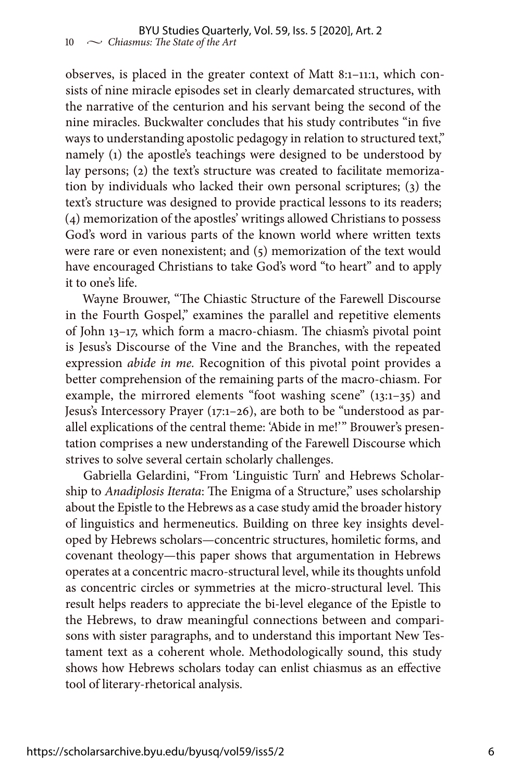observes, is placed in the greater context of Matt 8:1–11:1, which consists of nine miracle episodes set in clearly demarcated structures, with the narrative of the centurion and his servant being the second of the nine miracles. Buckwalter concludes that his study contributes "in five ways to understanding apostolic pedagogy in relation to structured text," namely (1) the apostle's teachings were designed to be understood by lay persons; (2) the text's structure was created to facilitate memorization by individuals who lacked their own personal scriptures; (3) the text's structure was designed to provide practical lessons to its readers; (4) memorization of the apostles' writings allowed Christians to possess God's word in various parts of the known world where written texts were rare or even nonexistent; and (5) memorization of the text would have encouraged Christians to take God's word "to heart" and to apply it to one's life.

Wayne Brouwer, "The Chiastic Structure of the Farewell Discourse in the Fourth Gospel," examines the parallel and repetitive elements of John 13–17, which form a macro-chiasm. The chiasm's pivotal point is Jesus's Discourse of the Vine and the Branches, with the repeated expression *abide in me.* Recognition of this pivotal point provides a better comprehension of the remaining parts of the macro-chiasm. For example, the mirrored elements "foot washing scene" (13:1–35) and Jesus's Intercessory Prayer (17:1–26), are both to be "understood as parallel explications of the central theme: 'Abide in me!'" Brouwer's presentation comprises a new understanding of the Farewell Discourse which strives to solve several certain scholarly challenges.

Gabriella Gelardini, "From 'Linguistic Turn' and Hebrews Scholarship to *Anadiplosis Iterata*: The Enigma of a Structure," uses scholarship about the Epistle to the Hebrews as a case study amid the broader history of linguistics and hermeneutics. Building on three key insights developed by Hebrews scholars—concentric structures, homiletic forms, and covenant theology—this paper shows that argumentation in Hebrews operates at a concentric macro-structural level, while its thoughts unfold as concentric circles or symmetries at the micro-structural level. This result helps readers to appreciate the bi-level elegance of the Epistle to the Hebrews, to draw meaningful connections between and comparisons with sister paragraphs, and to understand this important New Testament text as a coherent whole. Methodologically sound, this study shows how Hebrews scholars today can enlist chiasmus as an effective tool of literary-rhetorical analysis.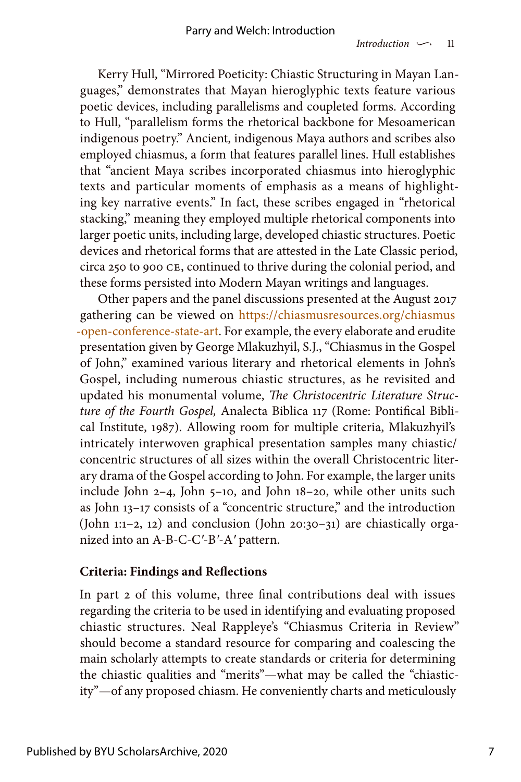Kerry Hull, "Mirrored Poeticity: Chiastic Structuring in Mayan Languages," demonstrates that Mayan hieroglyphic texts feature various poetic devices, including parallelisms and coupleted forms. According to Hull, "parallelism forms the rhetorical backbone for Mesoamerican indigenous poetry." Ancient, indigenous Maya authors and scribes also employed chiasmus, a form that features parallel lines. Hull establishes that "ancient Maya scribes incorporated chiasmus into hieroglyphic texts and particular moments of emphasis as a means of highlighting key narrative events." In fact, these scribes engaged in "rhetorical stacking," meaning they employed multiple rhetorical components into larger poetic units, including large, developed chiastic structures. Poetic devices and rhetorical forms that are attested in the Late Classic period, circa 250 to 900 CE, continued to thrive during the colonial period, and these forms persisted into Modern Mayan writings and languages.

Other papers and the panel discussions presented at the August 2017 gathering can be viewed on [https://chiasmusresources.org/chiasmus](https://chiasmusresources.org/chiasmus-open-conference-state-art) [-open-conference-state-art](https://chiasmusresources.org/chiasmus-open-conference-state-art). For example, the every elaborate and erudite presentation given by George Mlakuzhyil, S.J., "Chiasmus in the Gospel of John," examined various literary and rhetorical elements in John's Gospel, including numerous chiastic structures, as he revisited and updated his monumental volume, *The Christocentric Literature Structure of the Fourth Gospel,* Analecta Biblica 117 (Rome: Pontifical Biblical Institute, 1987). Allowing room for multiple criteria, Mlakuzhyil's intricately interwoven graphical presentation samples many chiastic/ concentric structures of all sizes within the overall Christocentric literary drama of the Gospel according to John. For example, the larger units include John 2–4, John 5–10, and John 18–20, while other units such as John 13–17 consists of a "concentric structure," and the introduction (John 1:1–2, 12) and conclusion (John 20:30–31) are chiastically organized into an A-B-C-C*′*-B*′*-A*′* pattern.

#### **Criteria: Findings and Reflections**

In part 2 of this volume, three final contributions deal with issues regarding the criteria to be used in identifying and evaluating proposed chiastic structures. Neal Rappleye's "Chiasmus Criteria in Review" should become a standard resource for comparing and coalescing the main scholarly attempts to create standards or criteria for determining the chiastic qualities and "merits"—what may be called the "chiasticity"—of any proposed chiasm. He conveniently charts and meticulously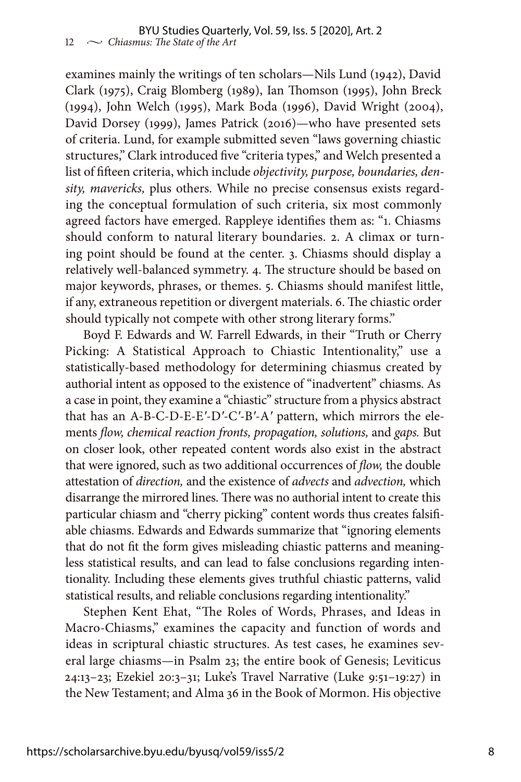examines mainly the writings of ten scholars—Nils Lund (1942), David Clark (1975), Craig Blomberg (1989), Ian Thomson (1995), John Breck (1994), John Welch (1995), Mark Boda (1996), David Wright (2004), David Dorsey (1999), James Patrick (2016)—who have presented sets of criteria. Lund, for example submitted seven "laws governing chiastic structures," Clark introduced five "criteria types," and Welch presented a list of fifteen criteria, which include *objectivity, purpose, boundaries, density, mavericks,* plus others. While no precise consensus exists regarding the conceptual formulation of such criteria, six most commonly agreed factors have emerged. Rappleye identifies them as: "1. Chiasms should conform to natural literary boundaries. 2. A climax or turning point should be found at the center. 3. Chiasms should display a relatively well-balanced symmetry. 4. The structure should be based on major keywords, phrases, or themes. 5. Chiasms should manifest little, if any, extraneous repetition or divergent materials. 6. The chiastic order should typically not compete with other strong literary forms."

Boyd F. Edwards and W. Farrell Edwards, in their "Truth or Cherry Picking: A Statistical Approach to Chiastic Intentionality," use a statistically-based methodology for determining chiasmus created by authorial intent as opposed to the existence of "inadvertent" chiasms. As a case in point, they examine a "chiastic" structure from a physics abstract that has an A-B-C-D-E-E*′*-D*′*-C*′*-B*′*-A*′* pattern, which mirrors the elements *flow, chemical reaction fronts, propagation, solutions,* and *gaps.* But on closer look, other repeated content words also exist in the abstract that were ignored, such as two additional occurrences of *flow,* the double attestation of *direction,* and the existence of *advects* and *advection,* which disarrange the mirrored lines. There was no authorial intent to create this particular chiasm and "cherry picking" content words thus creates falsifiable chiasms. Edwards and Edwards summarize that "ignoring elements that do not fit the form gives misleading chiastic patterns and meaningless statistical results, and can lead to false conclusions regarding intentionality. Including these elements gives truthful chiastic patterns, valid statistical results, and reliable conclusions regarding intentionality."

Stephen Kent Ehat, "The Roles of Words, Phrases, and Ideas in Macro-Chiasms," examines the capacity and function of words and ideas in scriptural chiastic structures. As test cases, he examines several large chiasms—in Psalm 23; the entire book of Genesis; Leviticus 24:13–23; Ezekiel 20:3–31; Luke's Travel Narrative (Luke 9:51–19:27) in the New Testament; and Alma 36 in the Book of Mormon. His objective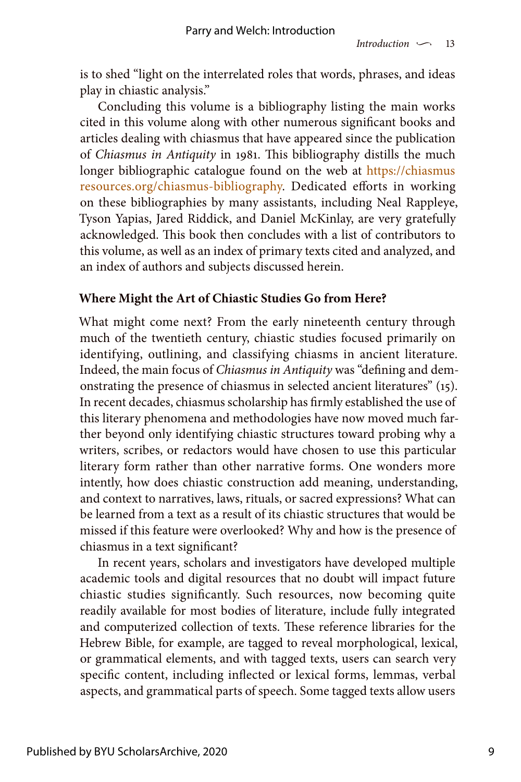is to shed "light on the interrelated roles that words, phrases, and ideas play in chiastic analysis."

Concluding this volume is a bibliography listing the main works cited in this volume along with other numerous significant books and articles dealing with chiasmus that have appeared since the publication of *Chiasmus in Antiquity* in 1981. This bibliography distills the much longer bibliographic catalogue found on the web at [https://chiasmus](https://chiasmusresources.org/chiasmus-bibliography) [resources.org/chiasmus-bibliography.](https://chiasmusresources.org/chiasmus-bibliography) Dedicated efforts in working on these bibliographies by many assistants, including Neal Rappleye, Tyson Yapias, Jared Riddick, and Daniel McKinlay, are very gratefully acknowledged. This book then concludes with a list of contributors to this volume, as well as an index of primary texts cited and analyzed, and an index of authors and subjects discussed herein.

## **Where Might the Art of Chiastic Studies Go from Here?**

What might come next? From the early nineteenth century through much of the twentieth century, chiastic studies focused primarily on identifying, outlining, and classifying chiasms in ancient literature. Indeed, the main focus of *Chiasmus in Antiquity* was "defining and demonstrating the presence of chiasmus in selected ancient literatures" (15). In recent decades, chiasmus scholarship has firmly established the use of this literary phenomena and methodologies have now moved much farther beyond only identifying chiastic structures toward probing why a writers, scribes, or redactors would have chosen to use this particular literary form rather than other narrative forms. One wonders more intently, how does chiastic construction add meaning, understanding, and context to narratives, laws, rituals, or sacred expressions? What can be learned from a text as a result of its chiastic structures that would be missed if this feature were overlooked? Why and how is the presence of chiasmus in a text significant?

In recent years, scholars and investigators have developed multiple academic tools and digital resources that no doubt will impact future chiastic studies significantly. Such resources, now becoming quite readily available for most bodies of literature, include fully integrated and computerized collection of texts. These reference libraries for the Hebrew Bible, for example, are tagged to reveal morphological, lexical, or grammatical elements, and with tagged texts, users can search very specific content, including inflected or lexical forms, lemmas, verbal aspects, and grammatical parts of speech. Some tagged texts allow users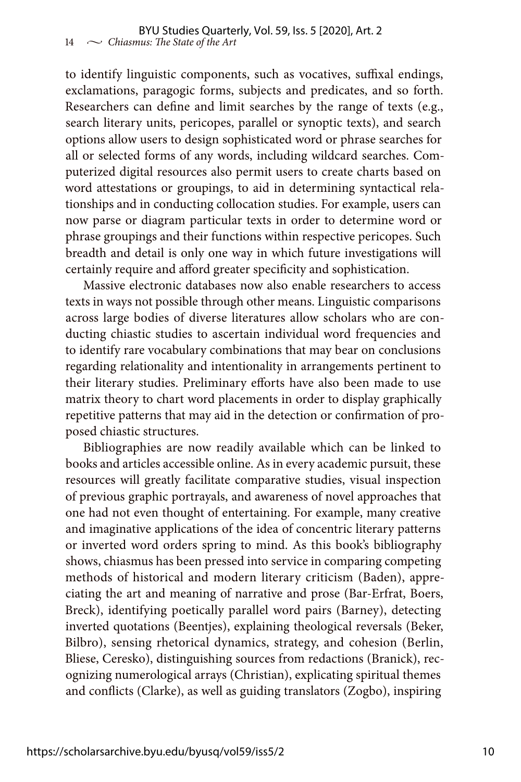to identify linguistic components, such as vocatives, suffixal endings, exclamations, paragogic forms, subjects and predicates, and so forth. Researchers can define and limit searches by the range of texts (e.g., search literary units, pericopes, parallel or synoptic texts), and search options allow users to design sophisticated word or phrase searches for all or selected forms of any words, including wildcard searches. Computerized digital resources also permit users to create charts based on word attestations or groupings, to aid in determining syntactical relationships and in conducting collocation studies. For example, users can now parse or diagram particular texts in order to determine word or phrase groupings and their functions within respective pericopes. Such breadth and detail is only one way in which future investigations will certainly require and afford greater specificity and sophistication.

Massive electronic databases now also enable researchers to access texts in ways not possible through other means. Linguistic comparisons across large bodies of diverse literatures allow scholars who are conducting chiastic studies to ascertain individual word frequencies and to identify rare vocabulary combinations that may bear on conclusions regarding relationality and intentionality in arrangements pertinent to their literary studies. Preliminary efforts have also been made to use matrix theory to chart word placements in order to display graphically repetitive patterns that may aid in the detection or confirmation of proposed chiastic structures.

Bibliographies are now readily available which can be linked to books and articles accessible online. As in every academic pursuit, these resources will greatly facilitate comparative studies, visual inspection of previous graphic portrayals, and awareness of novel approaches that one had not even thought of entertaining. For example, many creative and imaginative applications of the idea of concentric literary patterns or inverted word orders spring to mind. As this book's bibliography shows, chiasmus has been pressed into service in comparing competing methods of historical and modern literary criticism (Baden), appreciating the art and meaning of narrative and prose (Bar-Erfrat, Boers, Breck), identifying poetically parallel word pairs (Barney), detecting inverted quotations (Beentjes), explaining theological reversals (Beker, Bilbro), sensing rhetorical dynamics, strategy, and cohesion (Berlin, Bliese, Ceresko), distinguishing sources from redactions (Branick), recognizing numerological arrays (Christian), explicating spiritual themes and conflicts (Clarke), as well as guiding translators (Zogbo), inspiring